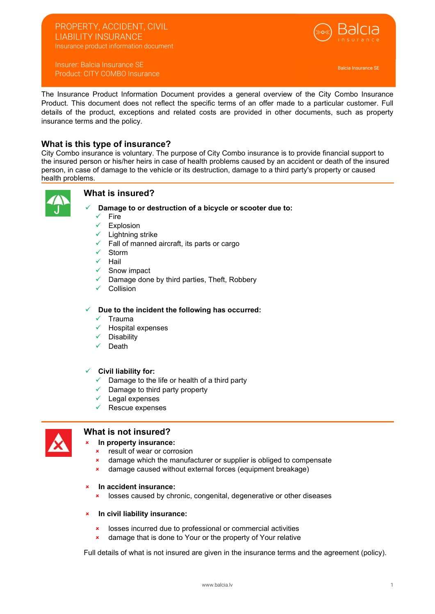## PROPERTY, ACCIDENT, CIVIL LIABILITY INSURANCE Insurance product information document



Insurer: Balcia Insurance SE Product: CITY COMBO Insurance

Balcia Insurance SE

The Insurance Product Information Document provides a general overview of the City Combo Insurance Product. This document does not reflect the specific terms of an offer made to a particular customer. Full details of the product, exceptions and related costs are provided in other documents, such as property insurance terms and the policy.

# What is this type of insurance?

City Combo insurance is voluntary. The purpose of City Combo insurance is to provide financial support to the insured person or his/her heirs in case of health problems caused by an accident or death of the insured person, in case of damage to the vehicle or its destruction, damage to a third party's property or caused health problems.



## What is insured?

- Damage to or destruction of a bicycle or scooter due to:
- $\checkmark$  Fire
- Explosion
- Lightning strike
- Fall of manned aircraft, its parts or cargo
- Storm
- $\checkmark$  Hail
- Snow impact
- Damage done by third parties, Theft, Robbery
- Collision

Due to the incident the following has occurred:

- $\checkmark$  Trauma
- Hospital expenses
- Disability
- Death

### $\checkmark$  Civil liability for:

- $\checkmark$  Damage to the life or health of a third party
- Damage to third party property
- $\checkmark$  Legal expenses
- Rescue expenses



## What is not insured?

- In property insurance:
- **x** result of wear or corrosion
- **\*** damage which the manufacturer or supplier is obliged to compensate
- damage caused without external forces (equipment breakage)
- In accident insurance:
	- **x** losses caused by chronic, congenital, degenerative or other diseases
- $\vert$  In civil liability insurance:
	- **x** losses incurred due to professional or commercial activities
	- damage that is done to Your or the property of Your relative

Full details of what is not insured are given in the insurance terms and the agreement (policy).